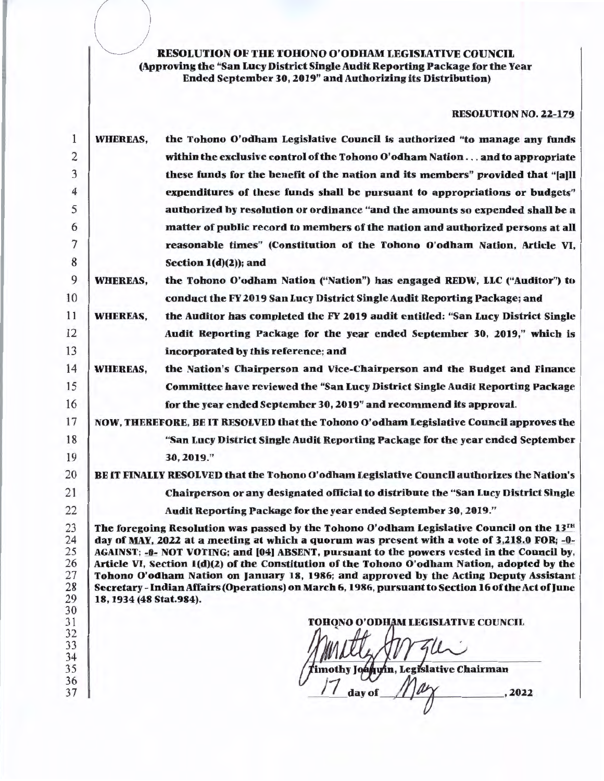# RESOLUTION OF THE TOHONO O'ODHAM LEGISLATIVE COUNCIL<br>(Approving the "San Lucy District Single Audit Reporting Package for the Year Ended September 30, 2019" and Authorizing its Distribution)

 $( \ )$ 

#### RESOLUTION NO. 22-179

| 1                                            | <b>WHEREAS,</b>                                                                                                                                                                                                                                                                                                                                                                                                                                                                                                                                                                                                         | the Tohono O'odham Legislative Council is authorized "to manage any funds                     |  |  |  |  |  |
|----------------------------------------------|-------------------------------------------------------------------------------------------------------------------------------------------------------------------------------------------------------------------------------------------------------------------------------------------------------------------------------------------------------------------------------------------------------------------------------------------------------------------------------------------------------------------------------------------------------------------------------------------------------------------------|-----------------------------------------------------------------------------------------------|--|--|--|--|--|
| 2                                            |                                                                                                                                                                                                                                                                                                                                                                                                                                                                                                                                                                                                                         | within the exclusive control of the Tohono O'odham Nation and to appropriate                  |  |  |  |  |  |
| 3                                            |                                                                                                                                                                                                                                                                                                                                                                                                                                                                                                                                                                                                                         | these funds for the benefit of the nation and its members" provided that "[a]]]               |  |  |  |  |  |
| 4                                            |                                                                                                                                                                                                                                                                                                                                                                                                                                                                                                                                                                                                                         | expenditures of these funds shall be pursuant to appropriations or budgets"                   |  |  |  |  |  |
| 5                                            |                                                                                                                                                                                                                                                                                                                                                                                                                                                                                                                                                                                                                         | authorized by resolution or ordinance "and the amounts so expended shall be a                 |  |  |  |  |  |
| 6                                            |                                                                                                                                                                                                                                                                                                                                                                                                                                                                                                                                                                                                                         | matter of public record to members of the nation and authorized persons at all                |  |  |  |  |  |
| 7                                            |                                                                                                                                                                                                                                                                                                                                                                                                                                                                                                                                                                                                                         | reasonable times" (Constitution of the Tohono O'odham Nation, Article VI,                     |  |  |  |  |  |
| 8                                            |                                                                                                                                                                                                                                                                                                                                                                                                                                                                                                                                                                                                                         | Section $1(d)(2)$ ; and                                                                       |  |  |  |  |  |
| 9                                            | <b>WHEREAS,</b>                                                                                                                                                                                                                                                                                                                                                                                                                                                                                                                                                                                                         | the Tohono O'odham Nation ("Nation") has engaged REDW, LLC ("Auditor") to                     |  |  |  |  |  |
| 10                                           |                                                                                                                                                                                                                                                                                                                                                                                                                                                                                                                                                                                                                         | conduct the FY 2019 San Lucy District Single Audit Reporting Package; and                     |  |  |  |  |  |
| 11                                           | <b>WHEREAS,</b>                                                                                                                                                                                                                                                                                                                                                                                                                                                                                                                                                                                                         | the Auditor has completed the FY 2019 audit entitled: "San Lucy District Single               |  |  |  |  |  |
| 12                                           |                                                                                                                                                                                                                                                                                                                                                                                                                                                                                                                                                                                                                         | Audit Reporting Package for the year ended September 30, 2019," which is                      |  |  |  |  |  |
| 13                                           |                                                                                                                                                                                                                                                                                                                                                                                                                                                                                                                                                                                                                         | incorporated by this reference; and                                                           |  |  |  |  |  |
| 14                                           | <b>WHEREAS,</b>                                                                                                                                                                                                                                                                                                                                                                                                                                                                                                                                                                                                         | the Nation's Chairperson and Vice-Chairperson and the Budget and Finance                      |  |  |  |  |  |
| 15                                           |                                                                                                                                                                                                                                                                                                                                                                                                                                                                                                                                                                                                                         | Committee have reviewed the "San Lucy District Single Audit Reporting Package                 |  |  |  |  |  |
| 16                                           |                                                                                                                                                                                                                                                                                                                                                                                                                                                                                                                                                                                                                         | for the year ended September 30, 2019" and recommend its approval.                            |  |  |  |  |  |
| 17                                           |                                                                                                                                                                                                                                                                                                                                                                                                                                                                                                                                                                                                                         | NOW, THEREFORE, BE IT RESOLVED that the Tohono O'odham Legislative Council approves the       |  |  |  |  |  |
| 18                                           |                                                                                                                                                                                                                                                                                                                                                                                                                                                                                                                                                                                                                         | "San Lucy District Single Audit Reporting Package for the year ended September                |  |  |  |  |  |
| 19                                           |                                                                                                                                                                                                                                                                                                                                                                                                                                                                                                                                                                                                                         | 30, 2019."                                                                                    |  |  |  |  |  |
| 20                                           |                                                                                                                                                                                                                                                                                                                                                                                                                                                                                                                                                                                                                         | BE IT FINALLY RESOLVED that the Tohono O'odham Legislative Council authorizes the Nation's    |  |  |  |  |  |
| 21                                           |                                                                                                                                                                                                                                                                                                                                                                                                                                                                                                                                                                                                                         | Chairperson or any designated official to distribute the "San Lucy District Single"           |  |  |  |  |  |
| 22                                           |                                                                                                                                                                                                                                                                                                                                                                                                                                                                                                                                                                                                                         | Audit Reporting Package for the year ended September 30, 2019."                               |  |  |  |  |  |
| 23<br>24<br>25<br>26<br>27<br>28<br>29<br>30 | The foregoing Resolution was passed by the Tohono O'odham Legislative Council on the $13^{TH}$<br>day of MAY, 2022 at a meeting at which a quorum was present with a vote of 3,218.0 FOR; -0-<br>AGAINST; -0- NOT VOTING; and [04] ABSENT, pursuant to the powers vested in the Council by,<br>Article VI, Section 1(d)(2) of the Constitution of the Tohono O'odham Nation, adopted by the<br>Tohono O'odham Nation on January 18, 1986; and approved by the Acting Deputy Assistant<br>Secretary - Indian Affairs (Operations) on March 6, 1986, pursuant to Section 16 of the Act of June<br>18, 1934 (48 Stat.984). |                                                                                               |  |  |  |  |  |
| 31<br>32<br>33<br>34<br>35<br>36<br>37       |                                                                                                                                                                                                                                                                                                                                                                                                                                                                                                                                                                                                                         | TOHONO O'ODHAM LEGISLATIVE COUNCIL<br>'imothy Joaquin, Legislative Chairman<br>day of<br>2022 |  |  |  |  |  |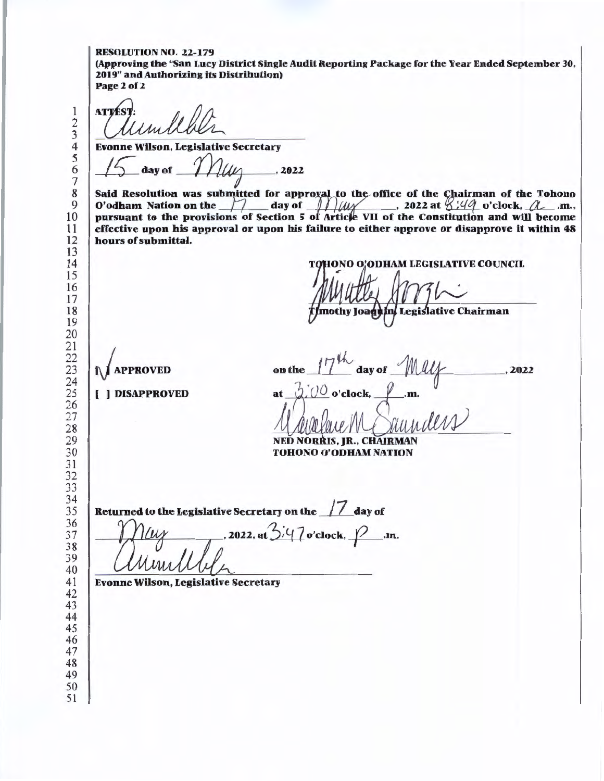#### RESOLUTION NO. 22-179

(Approving the "San Lucy District Single Audit Reporting Package for the Year Ended September 30, 2019" and Authorizing its Distribution) Page 2 of 2

**ATTES** 

[ ) DISAPPROVED

Evonne Wilson, Legislative Secretary<br>  $\sqrt{2}$  day of  $\mathcal{M}\llap{/}\mathcal{M}\llap{/}$ , 2022

Said Resolution was submitted for approxal to the office of the Chairman of the Tohono O'odham Nation on the  $\Box$  day of  $\Box$  // $\angle$ /// $\angle$  , 2022 at  $\angle$  :49 o'clock,  $\angle$  .m., pursuant to the provisions of Section 5 of Article VII of the Constitution and will become effective upon bis approval or upon bis failure to either approve or disapprove it within 48 hours of submittal.

**IONO O'ODHAM LEGISLATIVE COUNCIL** 

nothy Joaqt In/ Legislative Chairman

*J* **APPROVED** on the day of  $U^{\mathcal{O}}$  o'clock, at.

NED NORRIS, JR., CHAIRMAN TOHONO O'ODRAM NATION

 

Returned to the Legislative Secretary on the 17 day of

, 2022, at  $3/47$  o'clock,  $\cancel{2}$ .m.

Evonne Wilson, Legislative Secretary